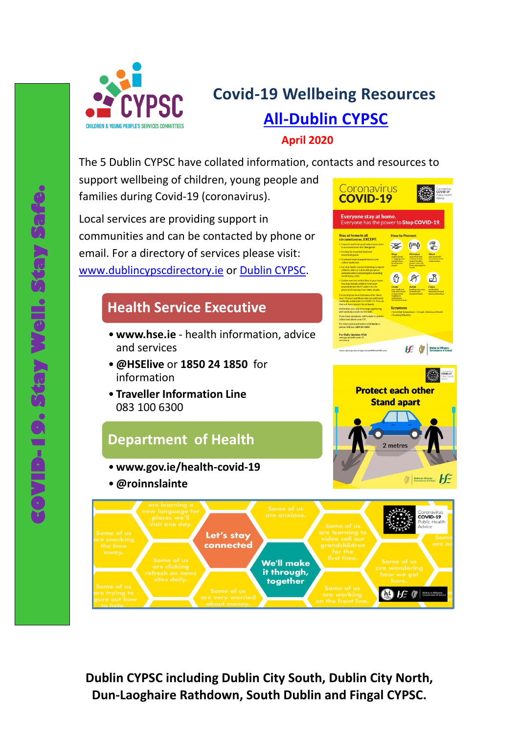

# **Covid-19 Wellbeing Resources All-[Dublin CYPSC](https://www.cypsc.ie/your-county-cypsc/dublin-cypsc.196.html)**

#### **April 2020**

The 5 Dublin CYPSC have collated information, contacts and resources to

support wellbeing of children, young people and families during Covid-19 (coronavirus).

Local services are providing support in communities and can be contacted by phone or email. For a directory of services please visit: [www.dublincypscdirectory.ie](http://www.dublincypscdirectory.ie/) or [Dublin CYPSC.](https://www.cypsc.ie/your-county-cypsc/dublin-cypsc.196.html)

#### **[Health Service Executive](https://www2.hse.ie/coronavirus/)**

- •**www.hse.ie**  health information, advice and services
- •**@HSElive** or **1850 24 1850** for information
- **Traveller Information Line**  083 100 6300

### **[Department of Health](https://www.gov.ie/en/campaigns/c36c85-covid-19-coronavirus/)**

- •**[www.gov.ie/health-covid-19](https://www.gov.ie/en/publication/240258-up-to-date-information-on-covid-19/)**
- •**@roinnslainte**



ર્મ

Coronavirus

**COVID-19** 





**Dublin CYPSC including Dublin City South, Dublin City North, Dun-Laoghaire Rathdown, South Dublin and Fingal CYPSC.**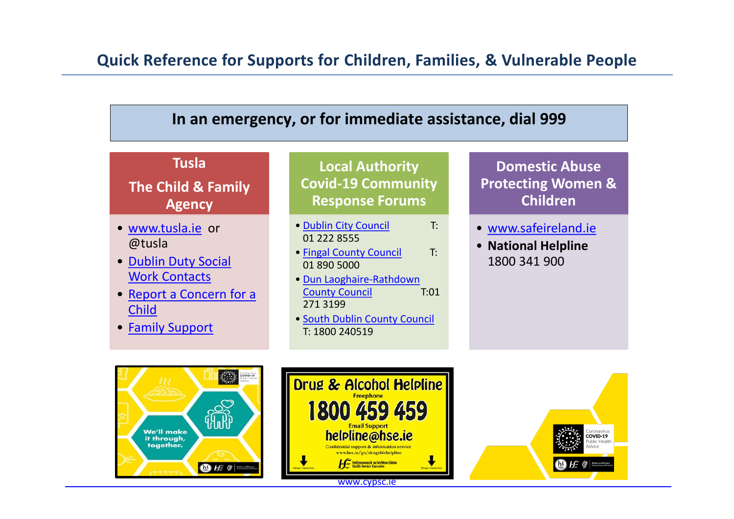## **Quick Reference for Supports for Children, Families, & Vulnerable People**

# **In an emergency, or for immediate assistance, dial 999**

#### **Tusla**

### **The Child & Family Agency**

- [www.tusla.ie](http://www.tusla.ie/) or @tusla
- [Dublin Duty Social](https://www.tusla.ie/services/child-protection-welfare/contact-a-social-worker/dublin-north-duty/)  [Work Contacts](https://www.tusla.ie/services/child-protection-welfare/contact-a-social-worker/dublin-north-duty/)
- [Report a Concern for a](https://www.tusla.ie/children-first/report-a-concern/)  [Child](https://www.tusla.ie/children-first/report-a-concern/)
- [Family Support](https://www.tusla.ie/services/family-community-support/family-support/)

**Local Authority Covid-19 Community Response Forums**

- [Dublin City Council](http://www.dublincity.ie/community-response) T: 01 222 8555
- [Fingal County Council](http://www.dublincity.ie/community-response) T: 01 890 5000
- [Dun Laoghaire-Rathdown](http://www.dublincity.ie/community-response)  [County Council](http://www.dublincity.ie/community-response) T:01 271 3199
- [South Dublin County Council](https://www.sdcc.ie/en/news/south-dublin-community-response-forum-set-up.html)  T: 1800 240519

### **Domestic Abuse Protecting Women & Children**

- [www.safeireland.ie](http://www.safeireland.ie/)
- **National Helpline**  1800 341 900





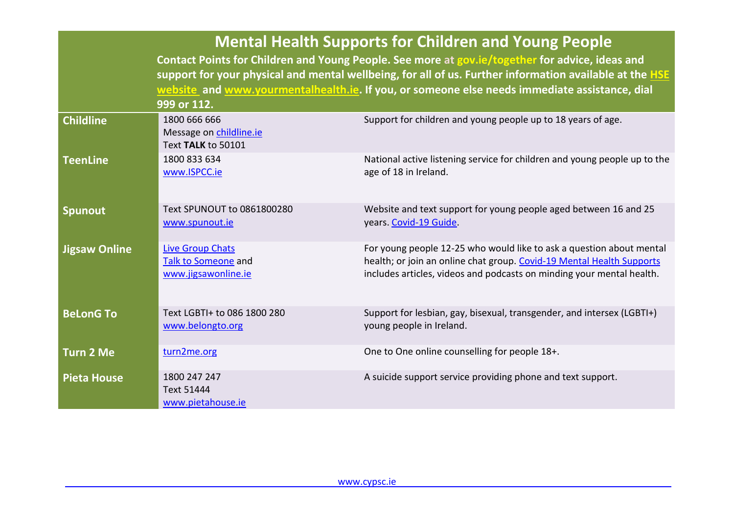|                      | <b>Mental Health Supports for Children and Young People</b><br>Contact Points for Children and Young People. See more at gov.ie/together for advice, ideas and<br>support for your physical and mental wellbeing, for all of us. Further information available at the <b>HSE</b><br>website and www.yourmentalhealth.ie. If you, or someone else needs immediate assistance, dial<br>999 or 112. |                                                                                                                                                                                                                        |  |  |
|----------------------|--------------------------------------------------------------------------------------------------------------------------------------------------------------------------------------------------------------------------------------------------------------------------------------------------------------------------------------------------------------------------------------------------|------------------------------------------------------------------------------------------------------------------------------------------------------------------------------------------------------------------------|--|--|
| <b>Childline</b>     | 1800 666 666<br>Message on childline.ie<br>Text TALK to 50101                                                                                                                                                                                                                                                                                                                                    | Support for children and young people up to 18 years of age.                                                                                                                                                           |  |  |
| <b>TeenLine</b>      | 1800 833 634<br>www.ISPCC.ie                                                                                                                                                                                                                                                                                                                                                                     | National active listening service for children and young people up to the<br>age of 18 in Ireland.                                                                                                                     |  |  |
| <b>Spunout</b>       | Text SPUNOUT to 0861800280<br>www.spunout.ie                                                                                                                                                                                                                                                                                                                                                     | Website and text support for young people aged between 16 and 25<br>years. Covid-19 Guide.                                                                                                                             |  |  |
| <b>Jigsaw Online</b> | <b>Live Group Chats</b><br>Talk to Someone and<br>www.jigsawonline.ie                                                                                                                                                                                                                                                                                                                            | For young people 12-25 who would like to ask a question about mental<br>health; or join an online chat group. Covid-19 Mental Health Supports<br>includes articles, videos and podcasts on minding your mental health. |  |  |
| <b>BeLonG To</b>     | Text LGBTI+ to 086 1800 280<br>www.belongto.org                                                                                                                                                                                                                                                                                                                                                  | Support for lesbian, gay, bisexual, transgender, and intersex (LGBTI+)<br>young people in Ireland.                                                                                                                     |  |  |
| <b>Turn 2 Me</b>     | turn2me.org                                                                                                                                                                                                                                                                                                                                                                                      | One to One online counselling for people 18+.                                                                                                                                                                          |  |  |
| <b>Pieta House</b>   | 1800 247 247<br>Text 51444<br>www.pietahouse.ie                                                                                                                                                                                                                                                                                                                                                  | A suicide support service providing phone and text support.                                                                                                                                                            |  |  |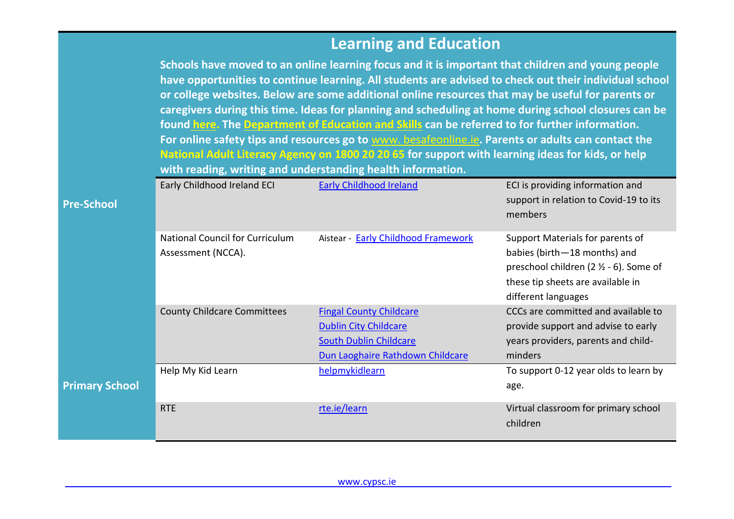# **Learning and Education**

|                       | with reading, writing and understanding health information.  | Schools have moved to an online learning focus and it is important that children and young people<br>have opportunities to continue learning. All students are advised to check out their individual school<br>or college websites. Below are some additional online resources that may be useful for parents or<br>caregivers during this time. Ideas for planning and scheduling at home during school closures can be<br>found here. The Department of Education and Skills can be referred to for further information.<br>For online safety tips and resources go to www. besafeonline.ie. Parents or adults can contact the<br>National Adult Literacy Agency on 1800 20 20 65 for support with learning ideas for kids, or help |                                                                                                                                                                         |
|-----------------------|--------------------------------------------------------------|---------------------------------------------------------------------------------------------------------------------------------------------------------------------------------------------------------------------------------------------------------------------------------------------------------------------------------------------------------------------------------------------------------------------------------------------------------------------------------------------------------------------------------------------------------------------------------------------------------------------------------------------------------------------------------------------------------------------------------------|-------------------------------------------------------------------------------------------------------------------------------------------------------------------------|
| <b>Pre-School</b>     | Early Childhood Ireland ECI                                  | <b>Early Childhood Ireland</b>                                                                                                                                                                                                                                                                                                                                                                                                                                                                                                                                                                                                                                                                                                        | ECI is providing information and<br>support in relation to Covid-19 to its<br>members                                                                                   |
|                       | <b>National Council for Curriculum</b><br>Assessment (NCCA). | Aistear - Early Childhood Framework                                                                                                                                                                                                                                                                                                                                                                                                                                                                                                                                                                                                                                                                                                   | Support Materials for parents of<br>babies (birth-18 months) and<br>preschool children (2 1/2 - 6). Some of<br>these tip sheets are available in<br>different languages |
|                       | <b>County Childcare Committees</b>                           | <b>Fingal County Childcare</b><br><b>Dublin City Childcare</b><br><b>South Dublin Childcare</b><br>Dun Laoghaire Rathdown Childcare                                                                                                                                                                                                                                                                                                                                                                                                                                                                                                                                                                                                   | CCCs are committed and available to<br>provide support and advise to early<br>years providers, parents and child-<br>minders                                            |
| <b>Primary School</b> | Help My Kid Learn                                            | helpmykidlearn                                                                                                                                                                                                                                                                                                                                                                                                                                                                                                                                                                                                                                                                                                                        | To support 0-12 year olds to learn by<br>age.                                                                                                                           |
|                       | <b>RTE</b>                                                   | rte.ie/learn                                                                                                                                                                                                                                                                                                                                                                                                                                                                                                                                                                                                                                                                                                                          | Virtual classroom for primary school<br>children                                                                                                                        |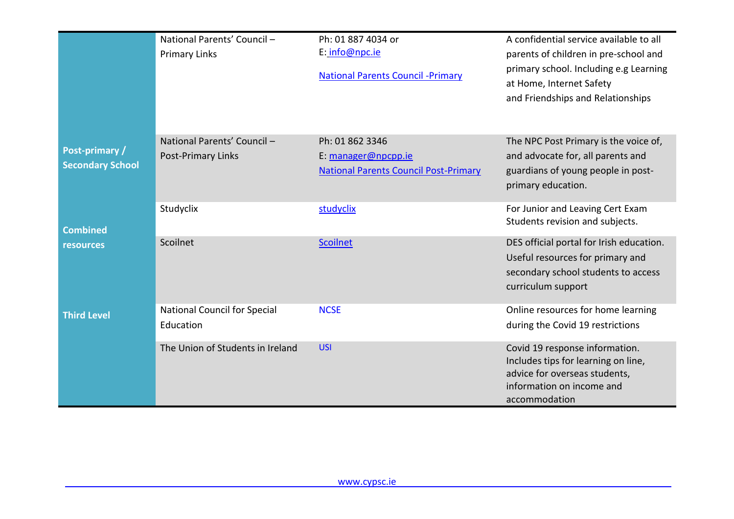|                                                 | National Parents' Council -<br><b>Primary Links</b> | Ph: 01 887 4034 or<br>E: info@npc.ie<br><b>National Parents Council - Primary</b>      | A confidential service available to all<br>parents of children in pre-school and<br>primary school. Including e.g Learning<br>at Home, Internet Safety<br>and Friendships and Relationships |
|-------------------------------------------------|-----------------------------------------------------|----------------------------------------------------------------------------------------|---------------------------------------------------------------------------------------------------------------------------------------------------------------------------------------------|
| <b>Post-primary/</b><br><b>Secondary School</b> | National Parents' Council -<br>Post-Primary Links   | Ph: 01 862 3346<br>E: manager@npcpp.ie<br><b>National Parents Council Post-Primary</b> | The NPC Post Primary is the voice of,<br>and advocate for, all parents and<br>guardians of young people in post-<br>primary education.                                                      |
| Combined                                        | Studyclix                                           | studyclix                                                                              | For Junior and Leaving Cert Exam<br>Students revision and subjects.                                                                                                                         |
| <b>resources</b>                                | Scoilnet                                            | <b>Scoilnet</b>                                                                        | DES official portal for Irish education.<br>Useful resources for primary and<br>secondary school students to access<br>curriculum support                                                   |
| <b>Third Level</b>                              | <b>National Council for Special</b><br>Education    | <b>NCSE</b>                                                                            | Online resources for home learning<br>during the Covid 19 restrictions                                                                                                                      |
|                                                 | The Union of Students in Ireland                    | <b>USI</b>                                                                             | Covid 19 response information.<br>Includes tips for learning on line,<br>advice for overseas students,<br>information on income and<br>accommodation                                        |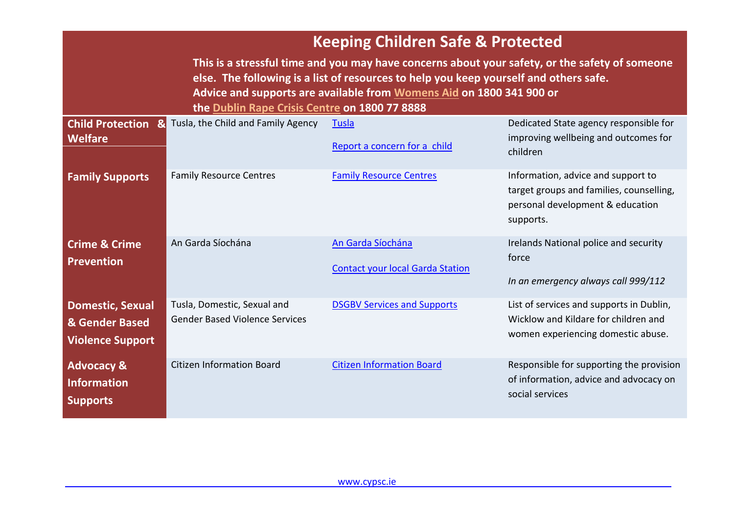|                                                                      | <b>Keeping Children Safe &amp; Protected</b>                         |                                                                                                                                                                                                                                                                 |                                                                                                                                 |
|----------------------------------------------------------------------|----------------------------------------------------------------------|-----------------------------------------------------------------------------------------------------------------------------------------------------------------------------------------------------------------------------------------------------------------|---------------------------------------------------------------------------------------------------------------------------------|
|                                                                      | the Dublin Rape Crisis Centre on 1800 77 8888                        | This is a stressful time and you may have concerns about your safety, or the safety of someone<br>else. The following is a list of resources to help you keep yourself and others safe.<br>Advice and supports are available from Womens Aid on 1800 341 900 or |                                                                                                                                 |
| <b>Child Protection &amp;</b><br>Welfare                             | Tusla, the Child and Family Agency                                   | <b>Tusla</b><br>Report a concern for a child                                                                                                                                                                                                                    | Dedicated State agency responsible for<br>improving wellbeing and outcomes for<br>children                                      |
| <b>Family Supports</b>                                               | <b>Family Resource Centres</b>                                       | <b>Family Resource Centres</b>                                                                                                                                                                                                                                  | Information, advice and support to<br>target groups and families, counselling,<br>personal development & education<br>supports. |
| <b>Crime &amp; Crime</b><br><b>Prevention</b>                        | An Garda Síochána                                                    | An Garda Síochána<br><b>Contact your local Garda Station</b>                                                                                                                                                                                                    | Irelands National police and security<br>force<br>In an emergency always call 999/112                                           |
| <b>Domestic, Sexual</b><br>& Gender Based<br><b>Violence Support</b> | Tusla, Domestic, Sexual and<br><b>Gender Based Violence Services</b> | <b>DSGBV Services and Supports</b>                                                                                                                                                                                                                              | List of services and supports in Dublin,<br>Wicklow and Kildare for children and<br>women experiencing domestic abuse.          |
| <b>Advocacy &amp;</b><br><b>Information</b><br><b>Supports</b>       | <b>Citizen Information Board</b>                                     | <b>Citizen Information Board</b>                                                                                                                                                                                                                                | Responsible for supporting the provision<br>of information, advice and advocacy on<br>social services                           |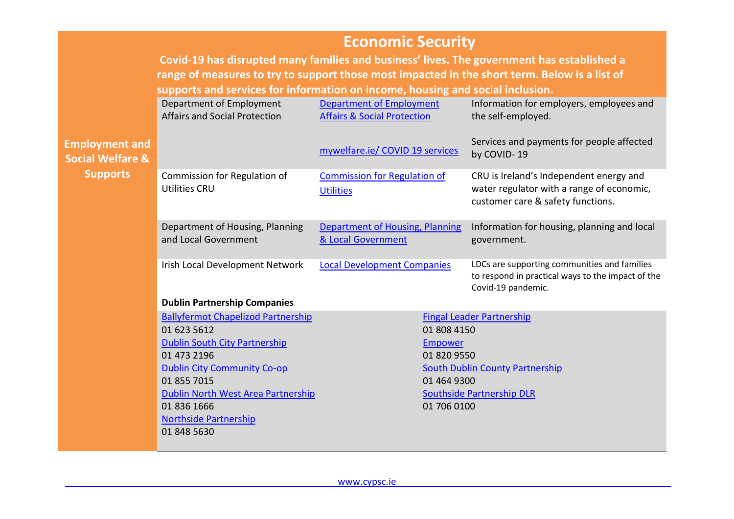|                                                      | <b>Economic Security</b><br>Covid-19 has disrupted many families and business' lives. The government has established a                                                          |                                                                           |                                                                                                                           |  |
|------------------------------------------------------|---------------------------------------------------------------------------------------------------------------------------------------------------------------------------------|---------------------------------------------------------------------------|---------------------------------------------------------------------------------------------------------------------------|--|
|                                                      | range of measures to try to support those most impacted in the short term. Below is a list of<br>supports and services for information on income, housing and social inclusion. |                                                                           |                                                                                                                           |  |
|                                                      | Department of Employment<br><b>Affairs and Social Protection</b>                                                                                                                | <b>Department of Employment</b><br><b>Affairs &amp; Social Protection</b> | Information for employers, employees and<br>the self-employed.                                                            |  |
| <b>Employment and</b><br><b>Social Welfare &amp;</b> |                                                                                                                                                                                 | mywelfare.ie/ COVID 19 services                                           | Services and payments for people affected<br>by COVID-19                                                                  |  |
| <b>Supports</b>                                      | Commission for Regulation of<br><b>Utilities CRU</b>                                                                                                                            | <b>Commission for Regulation of</b><br><b>Utilities</b>                   | CRU is Ireland's Independent energy and<br>water regulator with a range of economic,<br>customer care & safety functions. |  |
|                                                      | Department of Housing, Planning<br>and Local Government                                                                                                                         | <b>Department of Housing, Planning</b><br>& Local Government              | Information for housing, planning and local<br>government.                                                                |  |
|                                                      | Irish Local Development Network                                                                                                                                                 | <b>Local Development Companies</b>                                        | LDCs are supporting communities and families<br>to respond in practical ways to the impact of the<br>Covid-19 pandemic.   |  |
|                                                      | <b>Dublin Partnership Companies</b>                                                                                                                                             |                                                                           |                                                                                                                           |  |
|                                                      | <b>Ballyfermot Chapelizod Partnership</b>                                                                                                                                       |                                                                           | <b>Fingal Leader Partnership</b>                                                                                          |  |
|                                                      | 01 623 5612                                                                                                                                                                     | 01 808 4150                                                               |                                                                                                                           |  |
|                                                      | <b>Dublin South City Partnership</b><br>01 473 2196                                                                                                                             | Empower<br>01 820 9550                                                    |                                                                                                                           |  |
| <b>Dublin City Community Co-op</b>                   |                                                                                                                                                                                 |                                                                           | <b>South Dublin County Partnership</b>                                                                                    |  |
|                                                      | 01 855 7015<br>01 464 9300                                                                                                                                                      |                                                                           |                                                                                                                           |  |
|                                                      | Dublin North West Area Partnership                                                                                                                                              |                                                                           | <b>Southside Partnership DLR</b>                                                                                          |  |
|                                                      | 01 836 1666<br><b>Northside Partnership</b><br>01 848 5630                                                                                                                      | 01 706 0100                                                               |                                                                                                                           |  |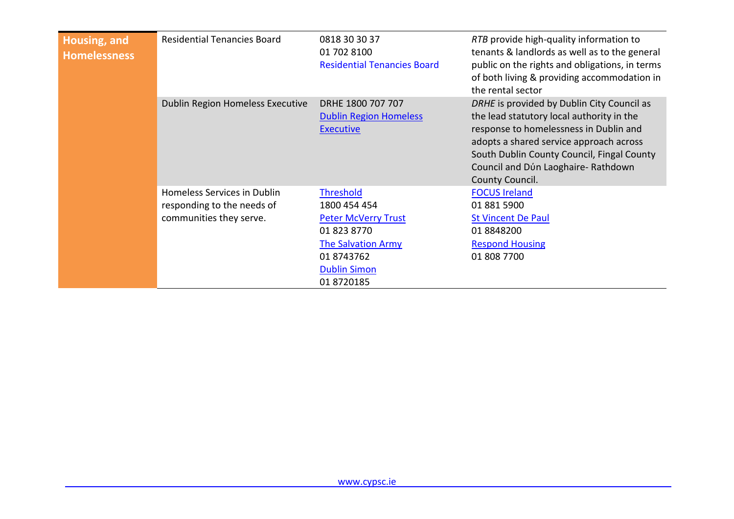| Housing, and<br><b>Homelessness</b> | <b>Residential Tenancies Board</b>                                                          | 0818 30 30 37<br>01 702 8100<br><b>Residential Tenancies Board</b>                                                                                            | RTB provide high-quality information to<br>tenants & landlords as well as to the general<br>public on the rights and obligations, in terms<br>of both living & providing accommodation in<br>the rental sector                                                                      |
|-------------------------------------|---------------------------------------------------------------------------------------------|---------------------------------------------------------------------------------------------------------------------------------------------------------------|-------------------------------------------------------------------------------------------------------------------------------------------------------------------------------------------------------------------------------------------------------------------------------------|
|                                     | Dublin Region Homeless Executive                                                            | DRHE 1800 707 707<br><b>Dublin Region Homeless</b><br><b>Executive</b>                                                                                        | DRHE is provided by Dublin City Council as<br>the lead statutory local authority in the<br>response to homelessness in Dublin and<br>adopts a shared service approach across<br>South Dublin County Council, Fingal County<br>Council and Dún Laoghaire-Rathdown<br>County Council. |
|                                     | <b>Homeless Services in Dublin</b><br>responding to the needs of<br>communities they serve. | <b>Threshold</b><br>1800 454 454<br><b>Peter McVerry Trust</b><br>01 823 8770<br><b>The Salvation Army</b><br>01 8743762<br><b>Dublin Simon</b><br>01 8720185 | <b>FOCUS Ireland</b><br>01 881 5900<br><b>St Vincent De Paul</b><br>01 8848200<br><b>Respond Housing</b><br>01 808 7700                                                                                                                                                             |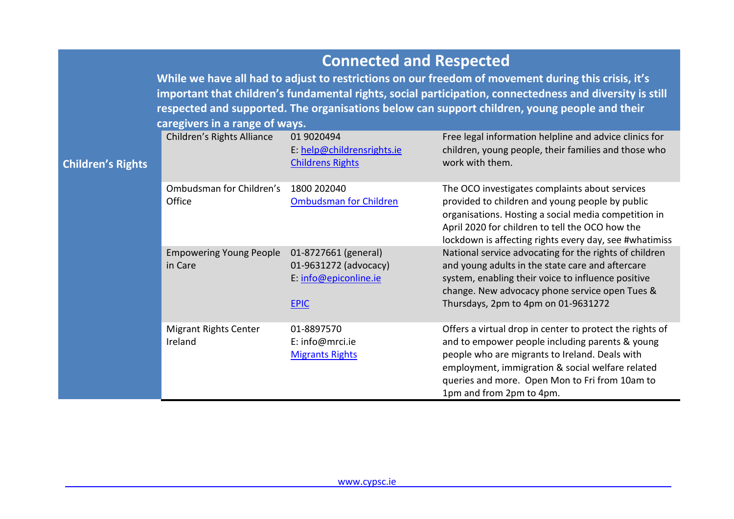## **Connected and Respected**

**While we have all had to adjust to restrictions on our freedom of movement during this crisis, it's important that children's fundamental rights, social participation, connectedness and diversity is still respected and supported. The organisations below can support children, young people and their caregivers in a range of ways.**

| <b>Children's Rights</b> | Children's Rights Alliance                | 01 9020494<br>E: help@childrensrights.ie<br><b>Childrens Rights</b>                   | Free legal information helpline and advice clinics for<br>children, young people, their families and those who<br>work with them.                                                                                                                                                               |
|--------------------------|-------------------------------------------|---------------------------------------------------------------------------------------|-------------------------------------------------------------------------------------------------------------------------------------------------------------------------------------------------------------------------------------------------------------------------------------------------|
|                          | Ombudsman for Children's<br>Office        | 1800 202040<br><b>Ombudsman for Children</b>                                          | The OCO investigates complaints about services<br>provided to children and young people by public<br>organisations. Hosting a social media competition in<br>April 2020 for children to tell the OCO how the<br>lockdown is affecting rights every day, see #whatimiss                          |
|                          | <b>Empowering Young People</b><br>in Care | 01-8727661 (general)<br>01-9631272 (advocacy)<br>E: info@epiconline.ie<br><b>EPIC</b> | National service advocating for the rights of children<br>and young adults in the state care and aftercare<br>system, enabling their voice to influence positive<br>change. New advocacy phone service open Tues &<br>Thursdays, 2pm to 4pm on 01-9631272                                       |
|                          | <b>Migrant Rights Center</b><br>Ireland   | 01-8897570<br>E: info@mrci.ie<br><b>Migrants Rights</b>                               | Offers a virtual drop in center to protect the rights of<br>and to empower people including parents & young<br>people who are migrants to Ireland. Deals with<br>employment, immigration & social welfare related<br>queries and more. Open Mon to Fri from 10am to<br>1pm and from 2pm to 4pm. |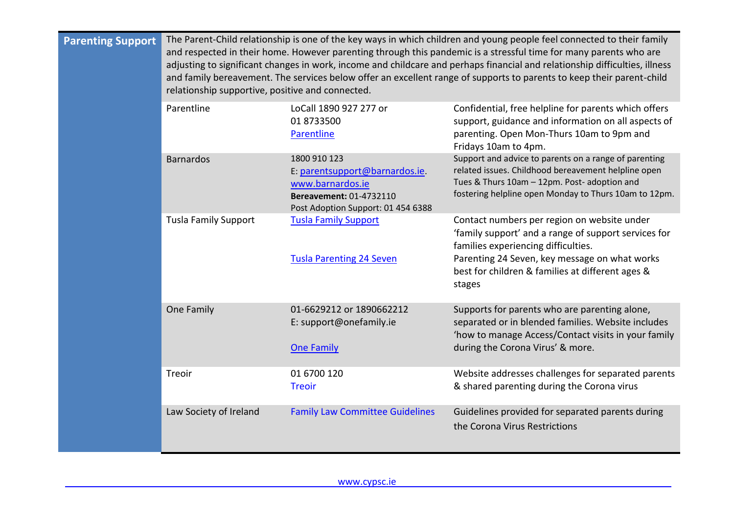| <b>Parenting Support</b> | The Parent-Child relationship is one of the key ways in which children and young people feel connected to their family<br>and respected in their home. However parenting through this pandemic is a stressful time for many parents who are<br>adjusting to significant changes in work, income and childcare and perhaps financial and relationship difficulties, illness<br>and family bereavement. The services below offer an excellent range of supports to parents to keep their parent-child<br>relationship supportive, positive and connected. |                                                                                                                                     |                                                                                                                                                                                                                                                           |  |
|--------------------------|---------------------------------------------------------------------------------------------------------------------------------------------------------------------------------------------------------------------------------------------------------------------------------------------------------------------------------------------------------------------------------------------------------------------------------------------------------------------------------------------------------------------------------------------------------|-------------------------------------------------------------------------------------------------------------------------------------|-----------------------------------------------------------------------------------------------------------------------------------------------------------------------------------------------------------------------------------------------------------|--|
|                          | Parentline                                                                                                                                                                                                                                                                                                                                                                                                                                                                                                                                              | LoCall 1890 927 277 or<br>01 8733500<br>Parentline                                                                                  | Confidential, free helpline for parents which offers<br>support, guidance and information on all aspects of<br>parenting. Open Mon-Thurs 10am to 9pm and<br>Fridays 10am to 4pm.                                                                          |  |
|                          | <b>Barnardos</b>                                                                                                                                                                                                                                                                                                                                                                                                                                                                                                                                        | 1800 910 123<br>E: parentsupport@barnardos.ie.<br>www.barnardos.ie<br>Bereavement: 01-4732110<br>Post Adoption Support: 01 454 6388 | Support and advice to parents on a range of parenting<br>related issues. Childhood bereavement helpline open<br>Tues & Thurs 10am - 12pm. Post- adoption and<br>fostering helpline open Monday to Thurs 10am to 12pm.                                     |  |
|                          | <b>Tusla Family Support</b>                                                                                                                                                                                                                                                                                                                                                                                                                                                                                                                             | <b>Tusla Family Support</b><br><b>Tusla Parenting 24 Seven</b>                                                                      | Contact numbers per region on website under<br>'family support' and a range of support services for<br>families experiencing difficulties.<br>Parenting 24 Seven, key message on what works<br>best for children & families at different ages &<br>stages |  |
|                          | One Family                                                                                                                                                                                                                                                                                                                                                                                                                                                                                                                                              | 01-6629212 or 1890662212<br>E: support@onefamily.ie<br><b>One Family</b>                                                            | Supports for parents who are parenting alone,<br>separated or in blended families. Website includes<br>'how to manage Access/Contact visits in your family<br>during the Corona Virus' & more.                                                            |  |
|                          | Treoir                                                                                                                                                                                                                                                                                                                                                                                                                                                                                                                                                  | 01 6700 120<br><b>Treoir</b>                                                                                                        | Website addresses challenges for separated parents<br>& shared parenting during the Corona virus                                                                                                                                                          |  |
|                          | Law Society of Ireland                                                                                                                                                                                                                                                                                                                                                                                                                                                                                                                                  | <b>Family Law Committee Guidelines</b>                                                                                              | Guidelines provided for separated parents during<br>the Corona Virus Restrictions                                                                                                                                                                         |  |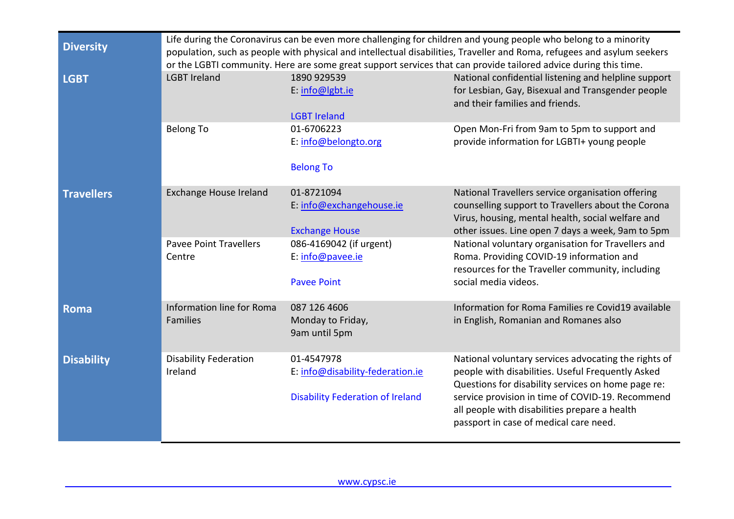| <b>Diversity</b>  | Life during the Coronavirus can be even more challenging for children and young people who belong to a minority<br>population, such as people with physical and intellectual disabilities, Traveller and Roma, refugees and asylum seekers<br>or the LGBTI community. Here are some great support services that can provide tailored advice during this time. |                                                                                                                                      |                                                                                                                                                                                                                                                                                                                                                                                                 |
|-------------------|---------------------------------------------------------------------------------------------------------------------------------------------------------------------------------------------------------------------------------------------------------------------------------------------------------------------------------------------------------------|--------------------------------------------------------------------------------------------------------------------------------------|-------------------------------------------------------------------------------------------------------------------------------------------------------------------------------------------------------------------------------------------------------------------------------------------------------------------------------------------------------------------------------------------------|
| <b>LGBT</b>       | <b>LGBT Ireland</b>                                                                                                                                                                                                                                                                                                                                           | 1890 929539<br>E: info@lgbt.ie<br><b>LGBT Ireland</b>                                                                                | National confidential listening and helpline support<br>for Lesbian, Gay, Bisexual and Transgender people<br>and their families and friends.                                                                                                                                                                                                                                                    |
|                   | <b>Belong To</b>                                                                                                                                                                                                                                                                                                                                              | 01-6706223<br>E: info@belongto.org<br><b>Belong To</b>                                                                               | Open Mon-Fri from 9am to 5pm to support and<br>provide information for LGBTI+ young people                                                                                                                                                                                                                                                                                                      |
| <b>Travellers</b> | <b>Exchange House Ireland</b><br><b>Pavee Point Travellers</b><br>Centre                                                                                                                                                                                                                                                                                      | 01-8721094<br>E: info@exchangehouse.ie<br><b>Exchange House</b><br>086-4169042 (if urgent)<br>E: info@pavee.ie<br><b>Pavee Point</b> | National Travellers service organisation offering<br>counselling support to Travellers about the Corona<br>Virus, housing, mental health, social welfare and<br>other issues. Line open 7 days a week, 9am to 5pm<br>National voluntary organisation for Travellers and<br>Roma. Providing COVID-19 information and<br>resources for the Traveller community, including<br>social media videos. |
| <b>Roma</b>       | Information line for Roma<br><b>Families</b>                                                                                                                                                                                                                                                                                                                  | 087 126 4606<br>Monday to Friday,<br>9am until 5pm                                                                                   | Information for Roma Families re Covid19 available<br>in English, Romanian and Romanes also                                                                                                                                                                                                                                                                                                     |
| <b>Disability</b> | <b>Disability Federation</b><br>Ireland                                                                                                                                                                                                                                                                                                                       | 01-4547978<br>E: info@disability-federation.ie<br><b>Disability Federation of Ireland</b>                                            | National voluntary services advocating the rights of<br>people with disabilities. Useful Frequently Asked<br>Questions for disability services on home page re:<br>service provision in time of COVID-19. Recommend<br>all people with disabilities prepare a health<br>passport in case of medical care need.                                                                                  |